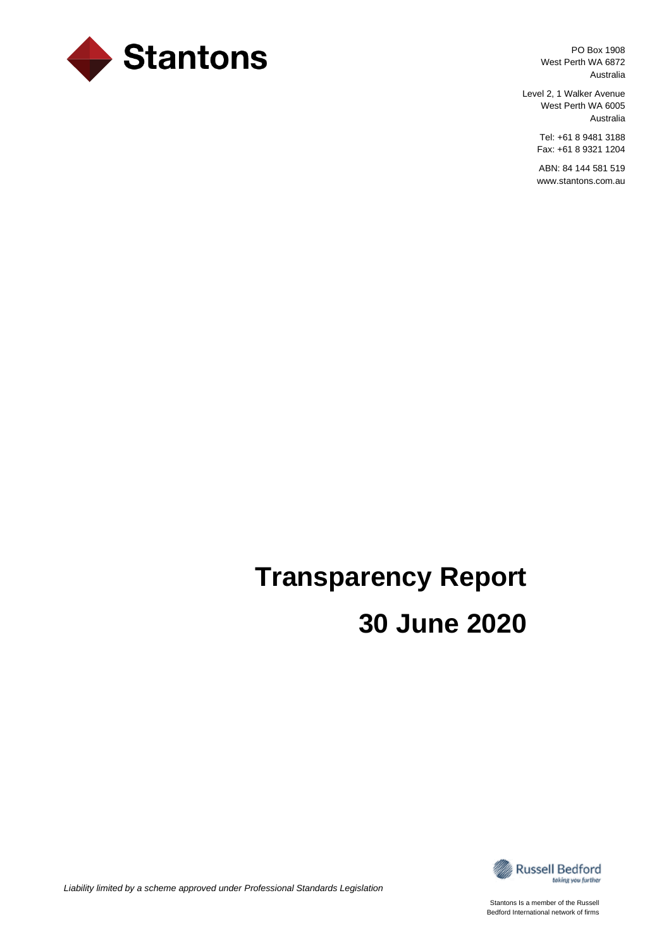

PO Box 1908 West Perth WA 6872 Australia

Level 2, 1 Walker Avenue West Perth WA 6005 Australia

> Tel: +61 8 9481 3188 Fax: +61 8 9321 1204

> ABN: 84 144 581 519 www.stantons.com.au

# **Transparency Report 30 June 2020**



*Liability limited by a scheme approved under Professional Standards Legislation*

Stantons Is a member of the Russell Bedford International network of firms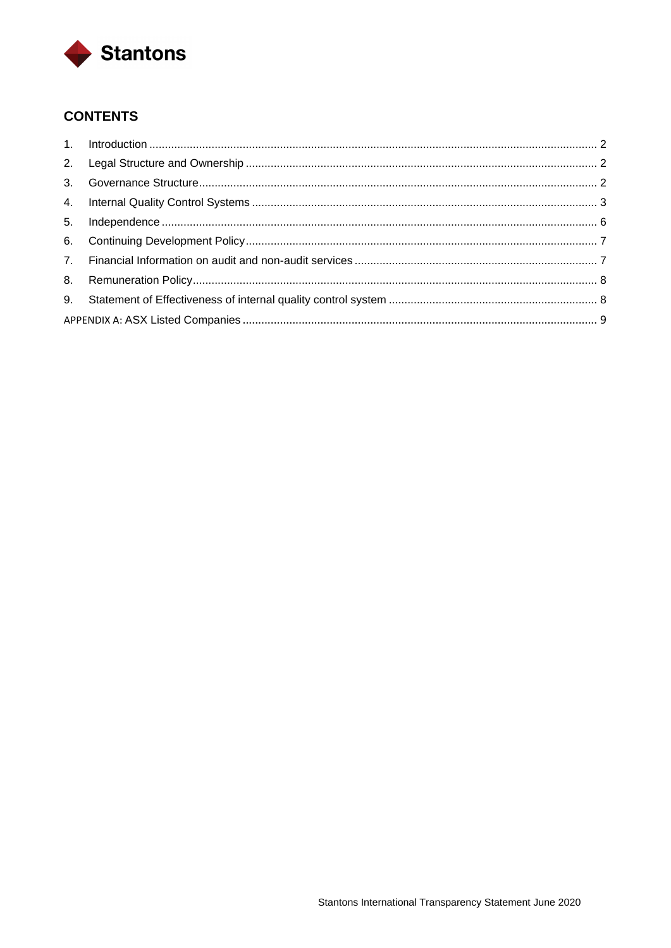

# **CONTENTS**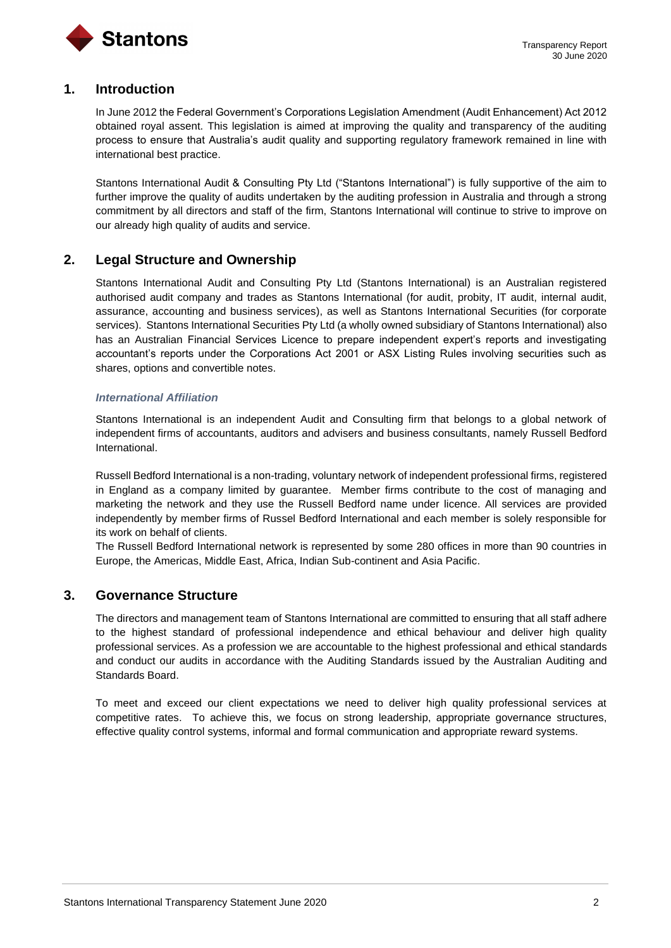

## <span id="page-2-0"></span>**1. Introduction**

In June 2012 the Federal Government's Corporations Legislation Amendment (Audit Enhancement) Act 2012 obtained royal assent. This legislation is aimed at improving the quality and transparency of the auditing process to ensure that Australia's audit quality and supporting regulatory framework remained in line with international best practice.

Stantons International Audit & Consulting Pty Ltd ("Stantons International") is fully supportive of the aim to further improve the quality of audits undertaken by the auditing profession in Australia and through a strong commitment by all directors and staff of the firm, Stantons International will continue to strive to improve on our already high quality of audits and service.

## <span id="page-2-1"></span>**2. Legal Structure and Ownership**

Stantons International Audit and Consulting Pty Ltd (Stantons International) is an Australian registered authorised audit company and trades as Stantons International (for audit, probity, IT audit, internal audit, assurance, accounting and business services), as well as Stantons International Securities (for corporate services). Stantons International Securities Pty Ltd (a wholly owned subsidiary of Stantons International) also has an Australian Financial Services Licence to prepare independent expert's reports and investigating accountant's reports under the Corporations Act 2001 or ASX Listing Rules involving securities such as shares, options and convertible notes.

#### *International Affiliation*

Stantons International is an independent Audit and Consulting firm that belongs to a global network of independent firms of accountants, auditors and advisers and business consultants, namely Russell Bedford International.

Russell Bedford International is a non-trading, voluntary network of independent professional firms, registered in England as a company limited by guarantee. Member firms contribute to the cost of managing and marketing the network and they use the Russell Bedford name under licence. All services are provided independently by member firms of Russel Bedford International and each member is solely responsible for its work on behalf of clients.

The Russell Bedford International network is represented by some 280 offices in more than 90 countries in Europe, the Americas, Middle East, Africa, Indian Sub-continent and Asia Pacific.

## <span id="page-2-2"></span>**3. Governance Structure**

The directors and management team of Stantons International are committed to ensuring that all staff adhere to the highest standard of professional independence and ethical behaviour and deliver high quality professional services. As a profession we are accountable to the highest professional and ethical standards and conduct our audits in accordance with the Auditing Standards issued by the Australian Auditing and Standards Board.

To meet and exceed our client expectations we need to deliver high quality professional services at competitive rates. To achieve this, we focus on strong leadership, appropriate governance structures, effective quality control systems, informal and formal communication and appropriate reward systems.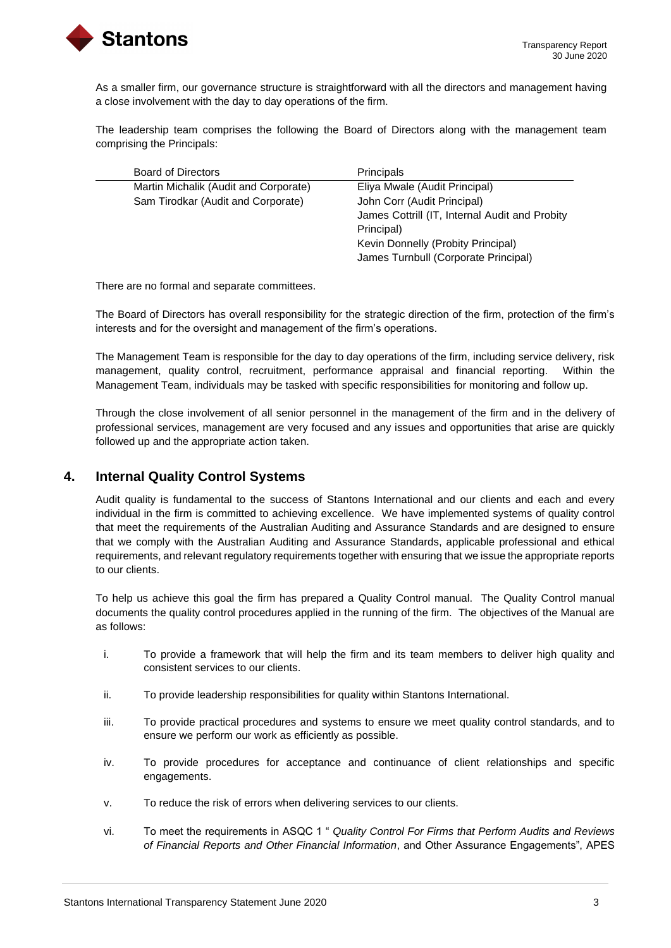

As a smaller firm, our governance structure is straightforward with all the directors and management having a close involvement with the day to day operations of the firm.

The leadership team comprises the following the Board of Directors along with the management team comprising the Principals:

| Board of Directors                    | <b>Principals</b>                              |
|---------------------------------------|------------------------------------------------|
| Martin Michalik (Audit and Corporate) | Eliya Mwale (Audit Principal)                  |
| Sam Tirodkar (Audit and Corporate)    | John Corr (Audit Principal)                    |
|                                       | James Cottrill (IT, Internal Audit and Probity |
|                                       | Principal)                                     |
|                                       | Kevin Donnelly (Probity Principal)             |
|                                       | James Turnbull (Corporate Principal)           |

There are no formal and separate committees.

The Board of Directors has overall responsibility for the strategic direction of the firm, protection of the firm's interests and for the oversight and management of the firm's operations.

The Management Team is responsible for the day to day operations of the firm, including service delivery, risk management, quality control, recruitment, performance appraisal and financial reporting. Within the Management Team, individuals may be tasked with specific responsibilities for monitoring and follow up.

Through the close involvement of all senior personnel in the management of the firm and in the delivery of professional services, management are very focused and any issues and opportunities that arise are quickly followed up and the appropriate action taken.

## <span id="page-3-0"></span>**4. Internal Quality Control Systems**

Audit quality is fundamental to the success of Stantons International and our clients and each and every individual in the firm is committed to achieving excellence. We have implemented systems of quality control that meet the requirements of the Australian Auditing and Assurance Standards and are designed to ensure that we comply with the Australian Auditing and Assurance Standards, applicable professional and ethical requirements, and relevant regulatory requirements together with ensuring that we issue the appropriate reports to our clients.

To help us achieve this goal the firm has prepared a Quality Control manual. The Quality Control manual documents the quality control procedures applied in the running of the firm. The objectives of the Manual are as follows:

- i. To provide a framework that will help the firm and its team members to deliver high quality and consistent services to our clients.
- ii. To provide leadership responsibilities for quality within Stantons International.
- iii. To provide practical procedures and systems to ensure we meet quality control standards, and to ensure we perform our work as efficiently as possible.
- iv. To provide procedures for acceptance and continuance of client relationships and specific engagements.
- v. To reduce the risk of errors when delivering services to our clients.
- vi. To meet the requirements in ASQC 1 " *Quality Control For Firms that Perform Audits and Reviews of Financial Reports and Other Financial Information*, and Other Assurance Engagements", APES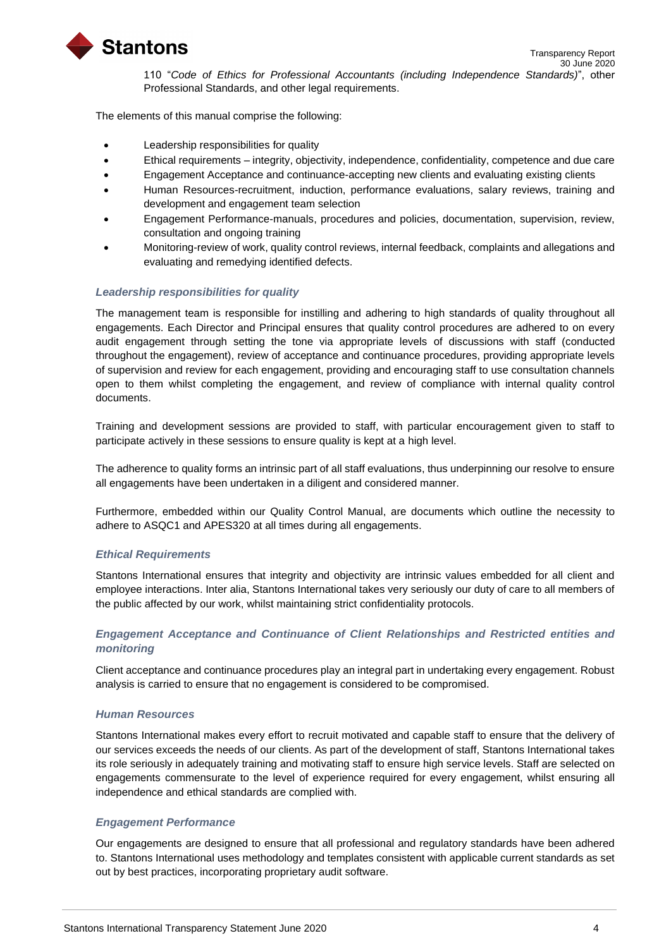

110 "*Code of Ethics for Professional Accountants (including Independence Standards)*", other Professional Standards, and other legal requirements.

The elements of this manual comprise the following:

- Leadership responsibilities for quality
- Ethical requirements integrity, objectivity, independence, confidentiality, competence and due care
- Engagement Acceptance and continuance-accepting new clients and evaluating existing clients
- Human Resources-recruitment, induction, performance evaluations, salary reviews, training and development and engagement team selection
- Engagement Performance-manuals, procedures and policies, documentation, supervision, review, consultation and ongoing training
- Monitoring-review of work, quality control reviews, internal feedback, complaints and allegations and evaluating and remedying identified defects.

#### *Leadership responsibilities for quality*

The management team is responsible for instilling and adhering to high standards of quality throughout all engagements. Each Director and Principal ensures that quality control procedures are adhered to on every audit engagement through setting the tone via appropriate levels of discussions with staff (conducted throughout the engagement), review of acceptance and continuance procedures, providing appropriate levels of supervision and review for each engagement, providing and encouraging staff to use consultation channels open to them whilst completing the engagement, and review of compliance with internal quality control documents.

Training and development sessions are provided to staff, with particular encouragement given to staff to participate actively in these sessions to ensure quality is kept at a high level.

The adherence to quality forms an intrinsic part of all staff evaluations, thus underpinning our resolve to ensure all engagements have been undertaken in a diligent and considered manner.

Furthermore, embedded within our Quality Control Manual, are documents which outline the necessity to adhere to ASQC1 and APES320 at all times during all engagements.

#### *Ethical Requirements*

Stantons International ensures that integrity and objectivity are intrinsic values embedded for all client and employee interactions. Inter alia, Stantons International takes very seriously our duty of care to all members of the public affected by our work, whilst maintaining strict confidentiality protocols.

## *Engagement Acceptance and Continuance of Client Relationships and Restricted entities and monitoring*

Client acceptance and continuance procedures play an integral part in undertaking every engagement. Robust analysis is carried to ensure that no engagement is considered to be compromised.

#### *Human Resources*

Stantons International makes every effort to recruit motivated and capable staff to ensure that the delivery of our services exceeds the needs of our clients. As part of the development of staff, Stantons International takes its role seriously in adequately training and motivating staff to ensure high service levels. Staff are selected on engagements commensurate to the level of experience required for every engagement, whilst ensuring all independence and ethical standards are complied with.

## *Engagement Performance*

Our engagements are designed to ensure that all professional and regulatory standards have been adhered to. Stantons International uses methodology and templates consistent with applicable current standards as set out by best practices, incorporating proprietary audit software.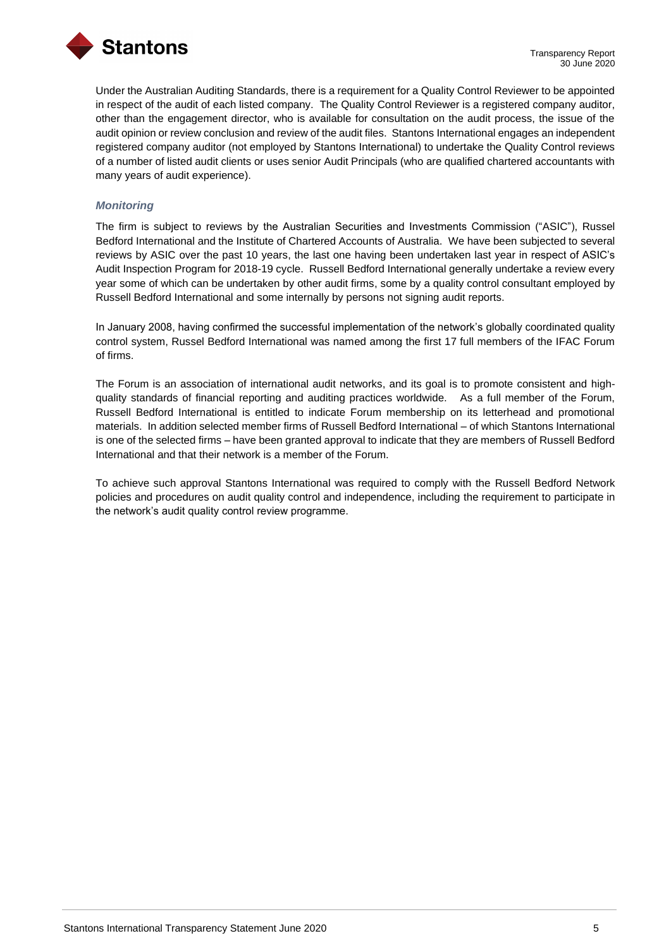

Under the Australian Auditing Standards, there is a requirement for a Quality Control Reviewer to be appointed in respect of the audit of each listed company. The Quality Control Reviewer is a registered company auditor, other than the engagement director, who is available for consultation on the audit process, the issue of the audit opinion or review conclusion and review of the audit files. Stantons International engages an independent registered company auditor (not employed by Stantons International) to undertake the Quality Control reviews of a number of listed audit clients or uses senior Audit Principals (who are qualified chartered accountants with many years of audit experience).

#### *Monitoring*

The firm is subject to reviews by the Australian Securities and Investments Commission ("ASIC"), Russel Bedford International and the Institute of Chartered Accounts of Australia. We have been subjected to several reviews by ASIC over the past 10 years, the last one having been undertaken last year in respect of ASIC's Audit Inspection Program for 2018-19 cycle. Russell Bedford International generally undertake a review every year some of which can be undertaken by other audit firms, some by a quality control consultant employed by Russell Bedford International and some internally by persons not signing audit reports.

In January 2008, having confirmed the successful implementation of the network's globally coordinated quality control system, Russel Bedford International was named among the first 17 full members of the IFAC Forum of firms.

The Forum is an association of international audit networks, and its goal is to promote consistent and highquality standards of financial reporting and auditing practices worldwide. As a full member of the Forum, Russell Bedford International is entitled to indicate Forum membership on its letterhead and promotional materials. In addition selected member firms of Russell Bedford International – of which Stantons International is one of the selected firms – have been granted approval to indicate that they are members of Russell Bedford International and that their network is a member of the Forum.

To achieve such approval Stantons International was required to comply with the Russell Bedford Network policies and procedures on audit quality control and independence, including the requirement to participate in the network's audit quality control review programme.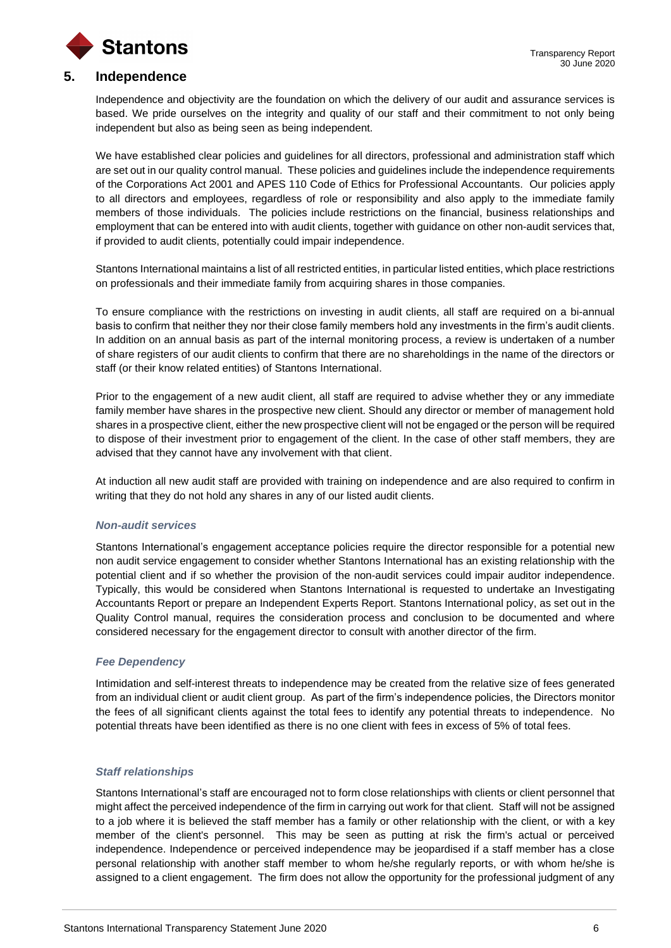

## <span id="page-6-0"></span>**5. Independence**

Independence and objectivity are the foundation on which the delivery of our audit and assurance services is based. We pride ourselves on the integrity and quality of our staff and their commitment to not only being independent but also as being seen as being independent.

We have established clear policies and guidelines for all directors, professional and administration staff which are set out in our quality control manual. These policies and guidelines include the independence requirements of the Corporations Act 2001 and APES 110 Code of Ethics for Professional Accountants. Our policies apply to all directors and employees, regardless of role or responsibility and also apply to the immediate family members of those individuals. The policies include restrictions on the financial, business relationships and employment that can be entered into with audit clients, together with guidance on other non-audit services that, if provided to audit clients, potentially could impair independence.

Stantons International maintains a list of all restricted entities, in particular listed entities, which place restrictions on professionals and their immediate family from acquiring shares in those companies.

To ensure compliance with the restrictions on investing in audit clients, all staff are required on a bi-annual basis to confirm that neither they nor their close family members hold any investments in the firm's audit clients. In addition on an annual basis as part of the internal monitoring process, a review is undertaken of a number of share registers of our audit clients to confirm that there are no shareholdings in the name of the directors or staff (or their know related entities) of Stantons International.

Prior to the engagement of a new audit client, all staff are required to advise whether they or any immediate family member have shares in the prospective new client. Should any director or member of management hold shares in a prospective client, either the new prospective client will not be engaged or the person will be required to dispose of their investment prior to engagement of the client. In the case of other staff members, they are advised that they cannot have any involvement with that client.

At induction all new audit staff are provided with training on independence and are also required to confirm in writing that they do not hold any shares in any of our listed audit clients.

#### *Non-audit services*

Stantons International's engagement acceptance policies require the director responsible for a potential new non audit service engagement to consider whether Stantons International has an existing relationship with the potential client and if so whether the provision of the non-audit services could impair auditor independence. Typically, this would be considered when Stantons International is requested to undertake an Investigating Accountants Report or prepare an Independent Experts Report. Stantons International policy, as set out in the Quality Control manual, requires the consideration process and conclusion to be documented and where considered necessary for the engagement director to consult with another director of the firm.

#### *Fee Dependency*

Intimidation and self-interest threats to independence may be created from the relative size of fees generated from an individual client or audit client group. As part of the firm's independence policies, the Directors monitor the fees of all significant clients against the total fees to identify any potential threats to independence. No potential threats have been identified as there is no one client with fees in excess of 5% of total fees.

#### *Staff relationships*

Stantons International's staff are encouraged not to form close relationships with clients or client personnel that might affect the perceived independence of the firm in carrying out work for that client. Staff will not be assigned to a job where it is believed the staff member has a family or other relationship with the client, or with a key member of the client's personnel. This may be seen as putting at risk the firm's actual or perceived independence. Independence or perceived independence may be jeopardised if a staff member has a close personal relationship with another staff member to whom he/she regularly reports, or with whom he/she is assigned to a client engagement. The firm does not allow the opportunity for the professional judgment of any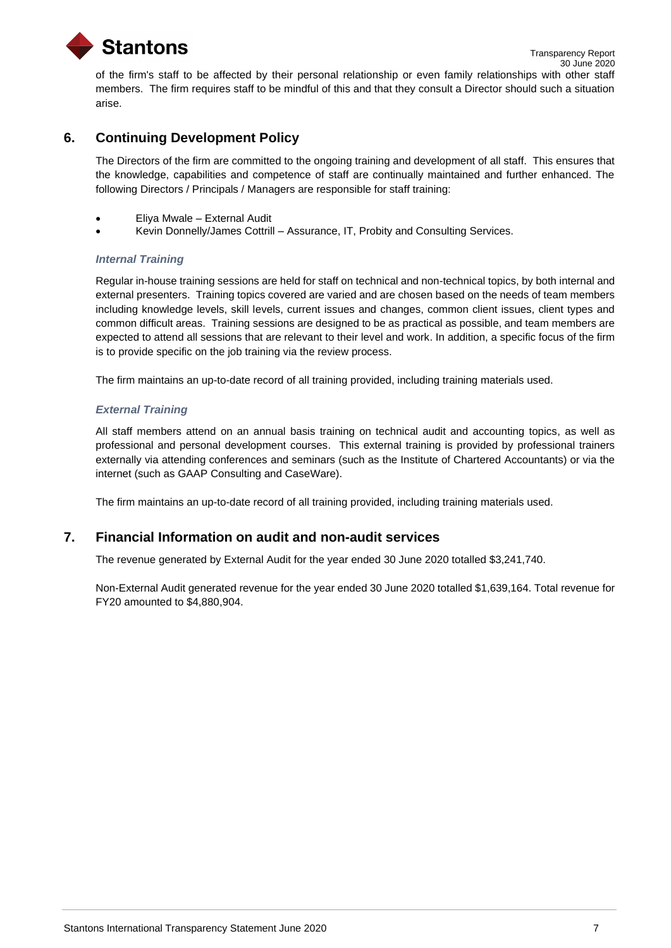

of the firm's staff to be affected by their personal relationship or even family relationships with other staff members. The firm requires staff to be mindful of this and that they consult a Director should such a situation arise.

## <span id="page-7-0"></span>**6. Continuing Development Policy**

The Directors of the firm are committed to the ongoing training and development of all staff. This ensures that the knowledge, capabilities and competence of staff are continually maintained and further enhanced. The following Directors / Principals / Managers are responsible for staff training:

- Eliya Mwale External Audit
- Kevin Donnelly/James Cottrill Assurance, IT, Probity and Consulting Services.

## *Internal Training*

Regular in-house training sessions are held for staff on technical and non-technical topics, by both internal and external presenters. Training topics covered are varied and are chosen based on the needs of team members including knowledge levels, skill levels, current issues and changes, common client issues, client types and common difficult areas. Training sessions are designed to be as practical as possible, and team members are expected to attend all sessions that are relevant to their level and work. In addition, a specific focus of the firm is to provide specific on the job training via the review process.

The firm maintains an up-to-date record of all training provided, including training materials used.

## *External Training*

All staff members attend on an annual basis training on technical audit and accounting topics, as well as professional and personal development courses. This external training is provided by professional trainers externally via attending conferences and seminars (such as the Institute of Chartered Accountants) or via the internet (such as GAAP Consulting and CaseWare).

The firm maintains an up-to-date record of all training provided, including training materials used.

## <span id="page-7-1"></span>**7. Financial Information on audit and non-audit services**

The revenue generated by External Audit for the year ended 30 June 2020 totalled \$3,241,740.

<span id="page-7-2"></span>Non-External Audit generated revenue for the year ended 30 June 2020 totalled \$1,639,164. Total revenue for FY20 amounted to \$4,880,904.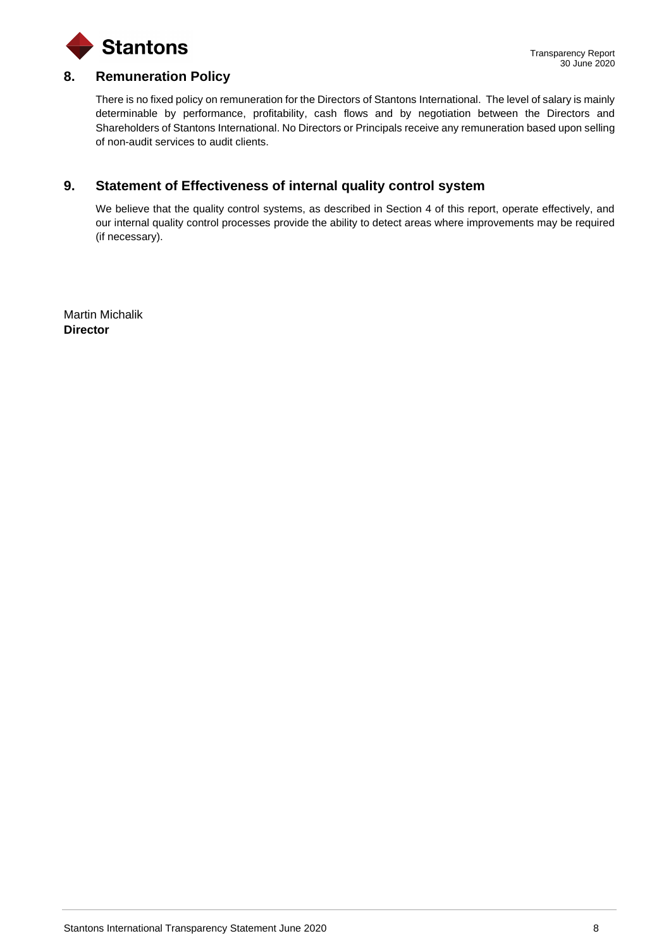

## **8. Remuneration Policy**

There is no fixed policy on remuneration for the Directors of Stantons International. The level of salary is mainly determinable by performance, profitability, cash flows and by negotiation between the Directors and Shareholders of Stantons International. No Directors or Principals receive any remuneration based upon selling of non-audit services to audit clients.

## <span id="page-8-0"></span>**9. Statement of Effectiveness of internal quality control system**

We believe that the quality control systems, as described in Section 4 of this report, operate effectively, and our internal quality control processes provide the ability to detect areas where improvements may be required (if necessary).

Martin Michalik **Director**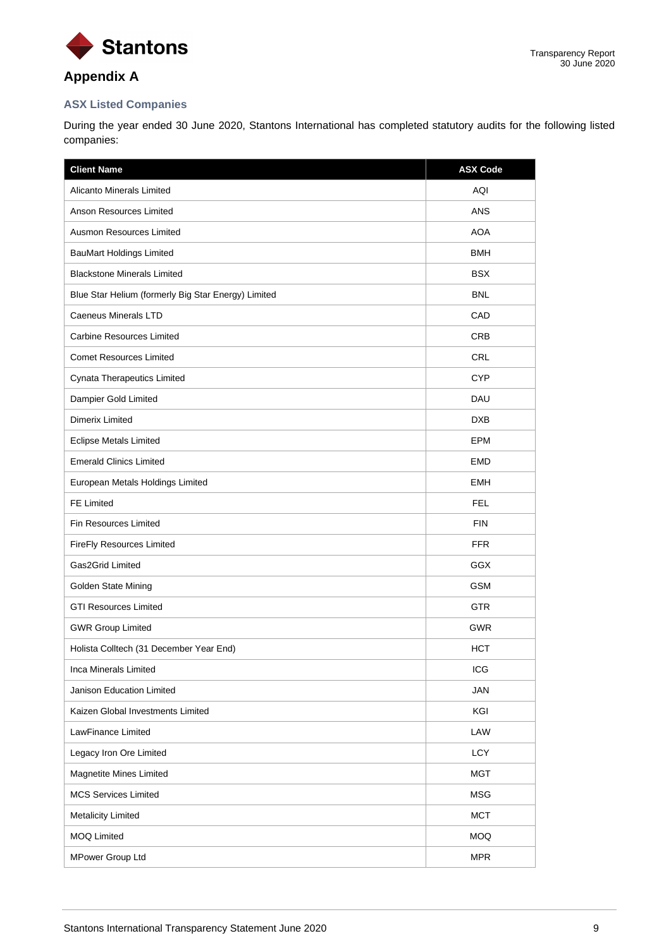

# **Appendix A**

## <span id="page-9-0"></span>**ASX Listed Companies**

During the year ended 30 June 2020, Stantons International has completed statutory audits for the following listed companies:

| <b>Client Name</b>                                  | <b>ASX Code</b> |
|-----------------------------------------------------|-----------------|
| <b>Alicanto Minerals Limited</b>                    | AQI             |
| Anson Resources Limited                             | <b>ANS</b>      |
| Ausmon Resources Limited                            | <b>AOA</b>      |
| <b>BauMart Holdings Limited</b>                     | <b>BMH</b>      |
| <b>Blackstone Minerals Limited</b>                  | <b>BSX</b>      |
| Blue Star Helium (formerly Big Star Energy) Limited | <b>BNL</b>      |
| <b>Caeneus Minerals LTD</b>                         | CAD             |
| Carbine Resources Limited                           | <b>CRB</b>      |
| <b>Comet Resources Limited</b>                      | <b>CRL</b>      |
| Cynata Therapeutics Limited                         | <b>CYP</b>      |
| Dampier Gold Limited                                | DAU             |
| Dimerix Limited                                     | <b>DXB</b>      |
| <b>Eclipse Metals Limited</b>                       | EPM             |
| <b>Emerald Clinics Limited</b>                      | <b>EMD</b>      |
| European Metals Holdings Limited                    | <b>EMH</b>      |
| FE Limited                                          | <b>FEL</b>      |
| Fin Resources Limited                               | <b>FIN</b>      |
| FireFly Resources Limited                           | <b>FFR</b>      |
| Gas2Grid Limited                                    | <b>GGX</b>      |
| Golden State Mining                                 | <b>GSM</b>      |
| <b>GTI Resources Limited</b>                        | <b>GTR</b>      |
| <b>GWR Group Limited</b>                            | <b>GWR</b>      |
| Holista Colltech (31 December Year End)             | <b>HCT</b>      |
| Inca Minerals Limited                               | ICG             |
| Janison Education Limited                           | JAN             |
| Kaizen Global Investments Limited                   | KGI             |
| LawFinance Limited                                  | LAW             |
| Legacy Iron Ore Limited                             | <b>LCY</b>      |
| Magnetite Mines Limited                             | <b>MGT</b>      |
| <b>MCS Services Limited</b>                         | <b>MSG</b>      |
| <b>Metalicity Limited</b>                           | <b>MCT</b>      |
| <b>MOQ Limited</b>                                  | <b>MOQ</b>      |
| MPower Group Ltd                                    | <b>MPR</b>      |